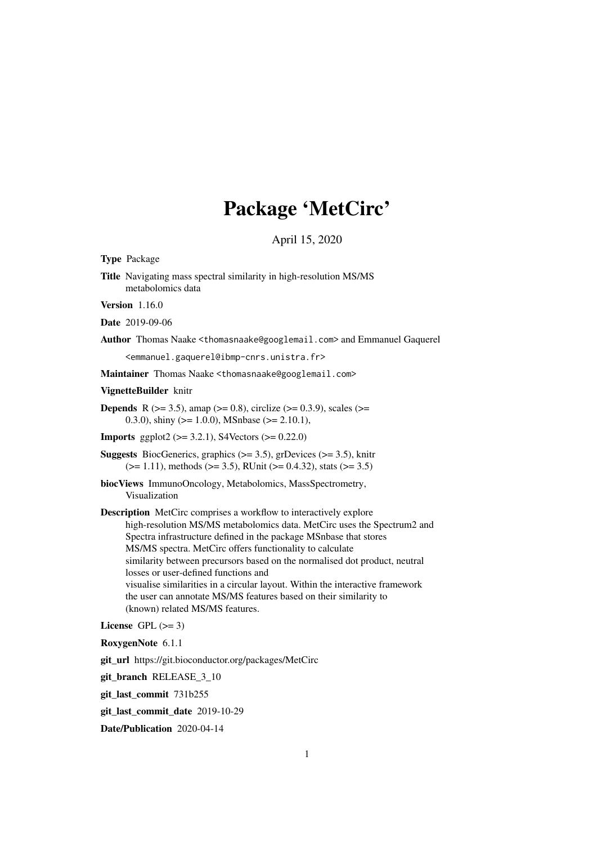# Package 'MetCirc'

April 15, 2020

Type Package

Title Navigating mass spectral similarity in high-resolution MS/MS metabolomics data

**Version** 1.16.0

Date 2019-09-06

Author Thomas Naake <thomasnaake@googlemail.com> and Emmanuel Gaquerel

<emmanuel.gaquerel@ibmp-cnrs.unistra.fr>

Maintainer Thomas Naake <thomasnaake@googlemail.com>

VignetteBuilder knitr

- **Depends** R ( $>= 3.5$ ), amap ( $>= 0.8$ ), circlize ( $>= 0.3.9$ ), scales ( $>=$ 0.3.0), shiny ( $> = 1.0.0$ ), MSnbase ( $> = 2.10.1$ ),
- **Imports** ggplot2 ( $>= 3.2.1$ ), S4Vectors ( $>= 0.22.0$ )
- **Suggests** BiocGenerics, graphics  $(>= 3.5)$ , grDevices  $(>= 3.5)$ , knitr  $(>= 1.11)$ , methods  $(>= 3.5)$ , RUnit  $(>= 0.4.32)$ , stats  $(>= 3.5)$
- biocViews ImmunoOncology, Metabolomics, MassSpectrometry, Visualization

Description MetCirc comprises a workflow to interactively explore high-resolution MS/MS metabolomics data. MetCirc uses the Spectrum2 and Spectra infrastructure defined in the package MSnbase that stores MS/MS spectra. MetCirc offers functionality to calculate similarity between precursors based on the normalised dot product, neutral losses or user-defined functions and visualise similarities in a circular layout. Within the interactive framework the user can annotate MS/MS features based on their similarity to (known) related MS/MS features.

License GPL  $(>= 3)$ 

RoxygenNote 6.1.1

git\_url https://git.bioconductor.org/packages/MetCirc

git branch RELEASE 3 10

git\_last\_commit 731b255

git\_last\_commit\_date 2019-10-29

Date/Publication 2020-04-14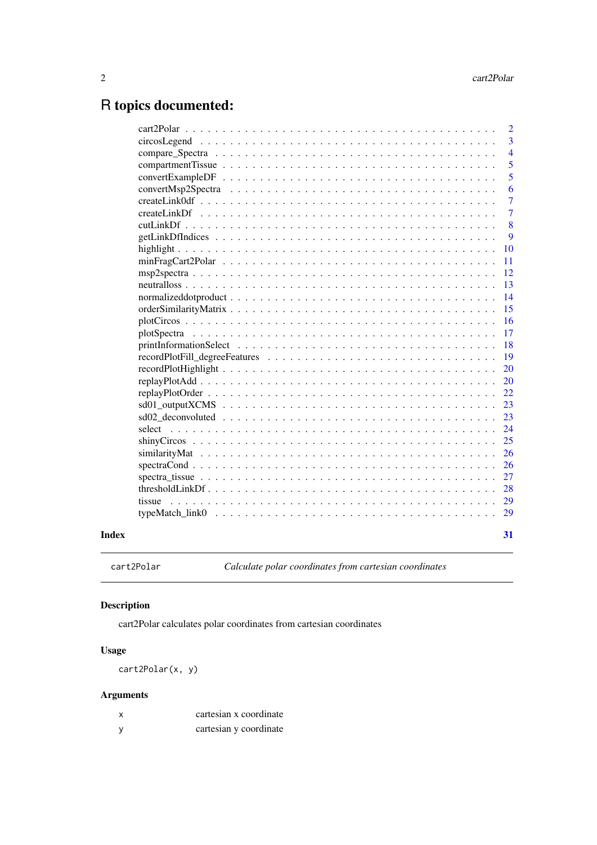# <span id="page-1-0"></span>R topics documented:

|       | $\overline{2}$ |
|-------|----------------|
|       | $\overline{3}$ |
|       | $\overline{4}$ |
|       | 5              |
|       | 5              |
|       | 6              |
|       | $\overline{7}$ |
|       | $\overline{7}$ |
|       | 8              |
|       | 9              |
|       | 10             |
|       | -11            |
|       | <sup>12</sup>  |
|       | 13             |
|       | 14             |
|       | 15             |
|       | <sup>16</sup>  |
|       | 17             |
|       | <sup>18</sup>  |
|       | <sup>19</sup>  |
|       | <b>20</b>      |
|       |                |
|       |                |
|       | 23             |
|       | 23             |
|       | 24             |
|       | 25             |
|       | 26             |
|       | 26             |
|       | 27             |
|       |                |
|       |                |
|       | 29             |
| Index | 31             |

cart2Polar *Calculate polar coordinates from cartesian coordinates*

# Description

cart2Polar calculates polar coordinates from cartesian coordinates

# Usage

cart2Polar(x, y)

# Arguments

| X        | cartesian x coordinate |
|----------|------------------------|
| <b>V</b> | cartesian y coordinate |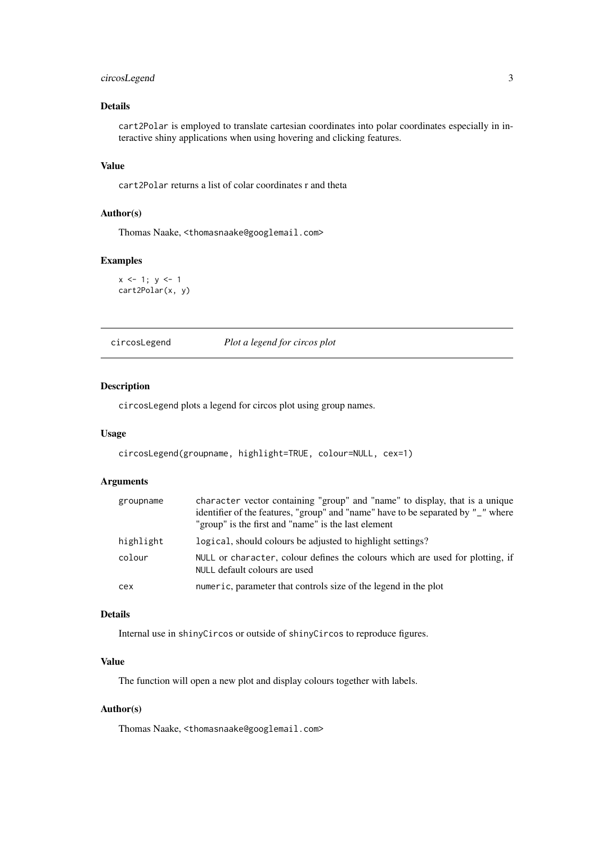#### <span id="page-2-0"></span>circosLegend 3

# Details

cart2Polar is employed to translate cartesian coordinates into polar coordinates especially in interactive shiny applications when using hovering and clicking features.

# Value

cart2Polar returns a list of colar coordinates r and theta

# Author(s)

Thomas Naake, <thomasnaake@googlemail.com>

#### Examples

 $x \le -1$ ;  $y \le -1$ cart2Polar(x, y)

circosLegend *Plot a legend for circos plot*

# Description

circosLegend plots a legend for circos plot using group names.

#### Usage

```
circosLegend(groupname, highlight=TRUE, colour=NULL, cex=1)
```
## Arguments

| groupname | character vector containing "group" and "name" to display, that is a unique<br>identifier of the features, "group" and "name" have to be separated by "_" where<br>"group" is the first and "name" is the last element |
|-----------|------------------------------------------------------------------------------------------------------------------------------------------------------------------------------------------------------------------------|
| highlight | logical, should colours be adjusted to highlight settings?                                                                                                                                                             |
| colour    | NULL or character, colour defines the colours which are used for plotting, if<br>NULL default colours are used                                                                                                         |
| cex       | numeric, parameter that controls size of the legend in the plot                                                                                                                                                        |

# Details

Internal use in shinyCircos or outside of shinyCircos to reproduce figures.

# Value

The function will open a new plot and display colours together with labels.

# Author(s)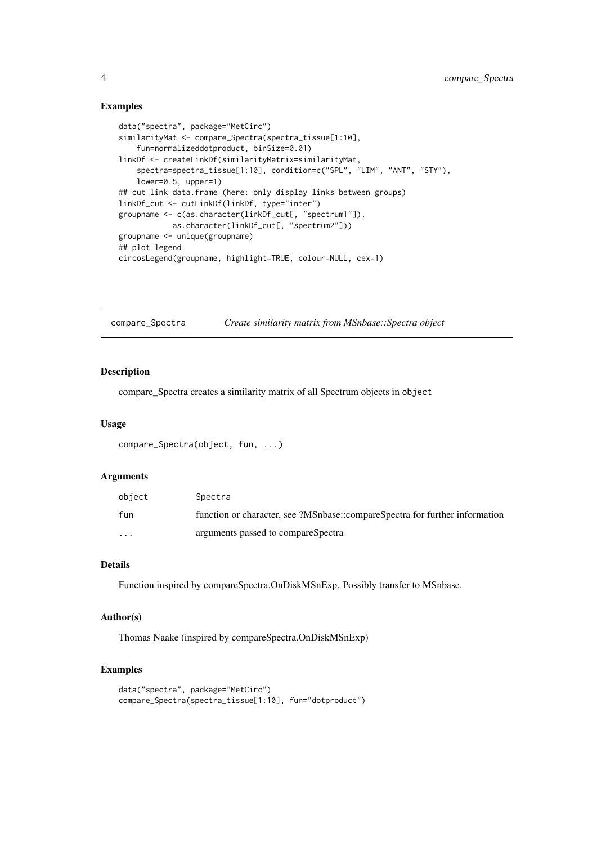# Examples

```
data("spectra", package="MetCirc")
similarityMat <- compare_Spectra(spectra_tissue[1:10],
    fun=normalizeddotproduct, binSize=0.01)
linkDf <- createLinkDf(similarityMatrix=similarityMat,
   spectra=spectra_tissue[1:10], condition=c("SPL", "LIM", "ANT", "STY"),
    lower=0.5, upper=1)
## cut link data.frame (here: only display links between groups)
linkDf_cut <- cutLinkDf(linkDf, type="inter")
groupname <- c(as.character(linkDf_cut[, "spectrum1"]),
           as.character(linkDf_cut[, "spectrum2"]))
groupname <- unique(groupname)
## plot legend
circosLegend(groupname, highlight=TRUE, colour=NULL, cex=1)
```
compare\_Spectra *Create similarity matrix from MSnbase::Spectra object*

# Description

compare\_Spectra creates a similarity matrix of all Spectrum objects in object

#### Usage

```
compare_Spectra(object, fun, ...)
```
#### Arguments

| obiect   | Spectra                                                                     |
|----------|-----------------------------------------------------------------------------|
| fun      | function or character, see ?MSnbase::compareSpectra for further information |
| $\cdots$ | arguments passed to compareSpectra                                          |

#### Details

Function inspired by compareSpectra.OnDiskMSnExp. Possibly transfer to MSnbase.

#### Author(s)

Thomas Naake (inspired by compareSpectra.OnDiskMSnExp)

```
data("spectra", package="MetCirc")
compare_Spectra(spectra_tissue[1:10], fun="dotproduct")
```
<span id="page-3-0"></span>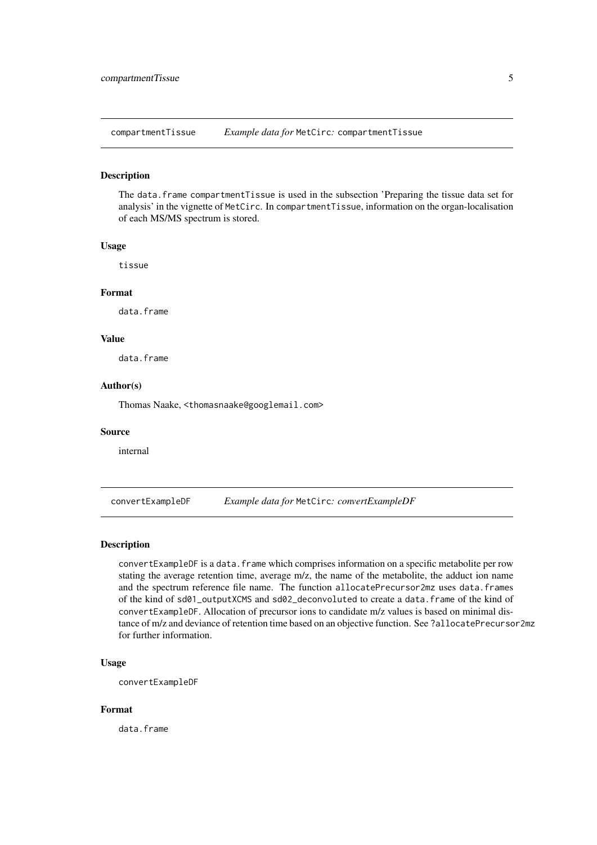<span id="page-4-0"></span>compartmentTissue *Example data for* MetCirc*:* compartmentTissue

## Description

The data.frame compartmentTissue is used in the subsection 'Preparing the tissue data set for analysis' in the vignette of MetCirc. In compartmentTissue, information on the organ-localisation of each MS/MS spectrum is stored.

# Usage

tissue

# Format

data.frame

# Value

data.frame

#### Author(s)

Thomas Naake, <thomasnaake@googlemail.com>

#### Source

internal

convertExampleDF *Example data for* MetCirc*: convertExampleDF*

# Description

convertExampleDF is a data.frame which comprises information on a specific metabolite per row stating the average retention time, average m/z, the name of the metabolite, the adduct ion name and the spectrum reference file name. The function allocatePrecursor2mz uses data.frames of the kind of sd01\_outputXCMS and sd02\_deconvoluted to create a data.frame of the kind of convertExampleDF. Allocation of precursor ions to candidate m/z values is based on minimal distance of m/z and deviance of retention time based on an objective function. See ?allocatePrecursor2mz for further information.

#### Usage

convertExampleDF

# Format

data.frame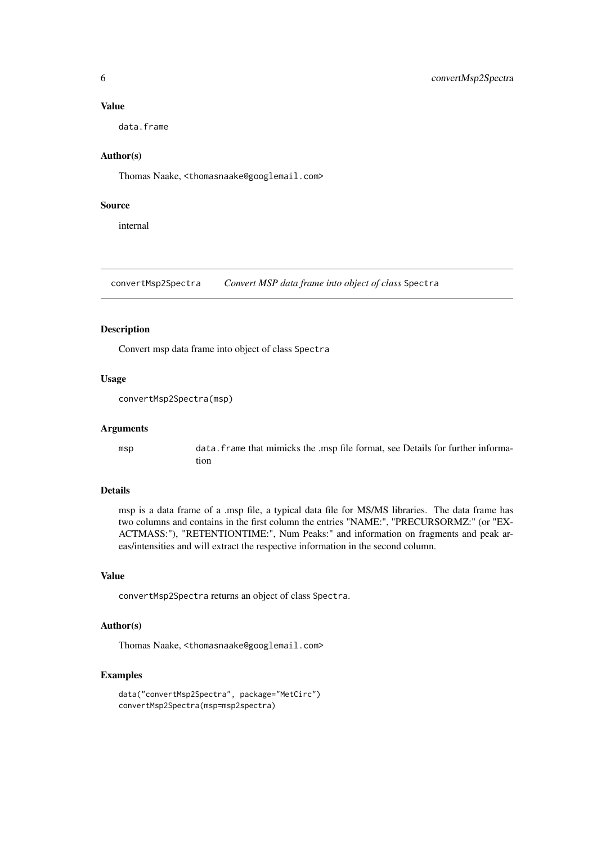#### Value

data.frame

# Author(s)

Thomas Naake, <thomasnaake@googlemail.com>

# Source

internal

convertMsp2Spectra *Convert MSP data frame into object of class* Spectra

#### Description

Convert msp data frame into object of class Spectra

#### Usage

```
convertMsp2Spectra(msp)
```
# Arguments

msp data.frame that mimicks the .msp file format, see Details for further information

# Details

msp is a data frame of a .msp file, a typical data file for MS/MS libraries. The data frame has two columns and contains in the first column the entries "NAME:", "PRECURSORMZ:" (or "EX-ACTMASS:"), "RETENTIONTIME:", Num Peaks:" and information on fragments and peak areas/intensities and will extract the respective information in the second column.

# Value

convertMsp2Spectra returns an object of class Spectra.

# Author(s)

Thomas Naake, <thomasnaake@googlemail.com>

```
data("convertMsp2Spectra", package="MetCirc")
convertMsp2Spectra(msp=msp2spectra)
```
<span id="page-5-0"></span>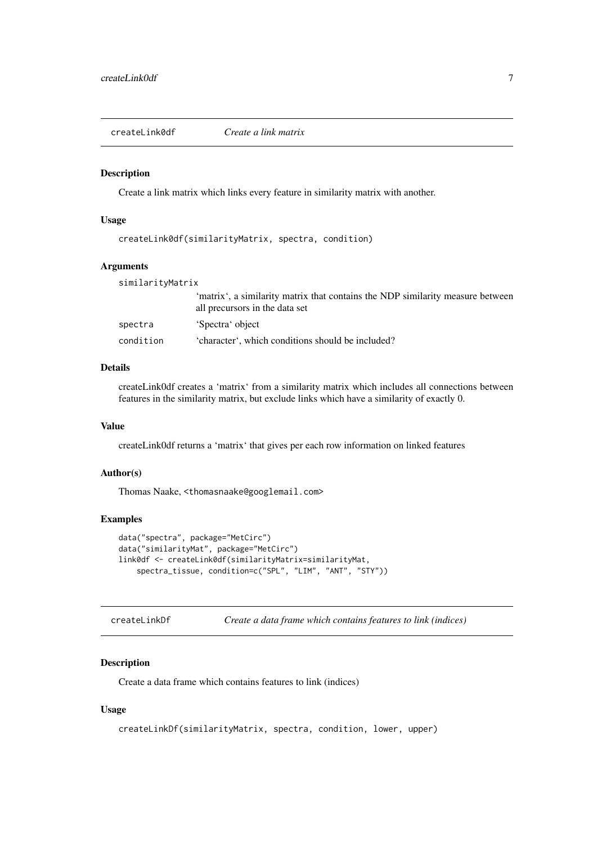<span id="page-6-0"></span>createLink0df *Create a link matrix*

#### Description

Create a link matrix which links every feature in similarity matrix with another.

#### Usage

```
createLink0df(similarityMatrix, spectra, condition)
```
#### Arguments

similarityMatrix

|           | 'matrix', a similarity matrix that contains the NDP similarity measure between |
|-----------|--------------------------------------------------------------------------------|
|           | all precursors in the data set                                                 |
| spectra   | 'Spectra' object                                                               |
| condition | 'character', which conditions should be included?                              |

# Details

createLink0df creates a 'matrix' from a similarity matrix which includes all connections between features in the similarity matrix, but exclude links which have a similarity of exactly 0.

# Value

createLink0df returns a 'matrix' that gives per each row information on linked features

#### Author(s)

Thomas Naake, <thomasnaake@googlemail.com>

# Examples

```
data("spectra", package="MetCirc")
data("similarityMat", package="MetCirc")
link0df <- createLink0df(similarityMatrix=similarityMat,
    spectra_tissue, condition=c("SPL", "LIM", "ANT", "STY"))
```

| createLinkDf | Create a data frame which contains features to link (indices) |  |  |
|--------------|---------------------------------------------------------------|--|--|
|--------------|---------------------------------------------------------------|--|--|

# Description

Create a data frame which contains features to link (indices)

# Usage

```
createLinkDf(similarityMatrix, spectra, condition, lower, upper)
```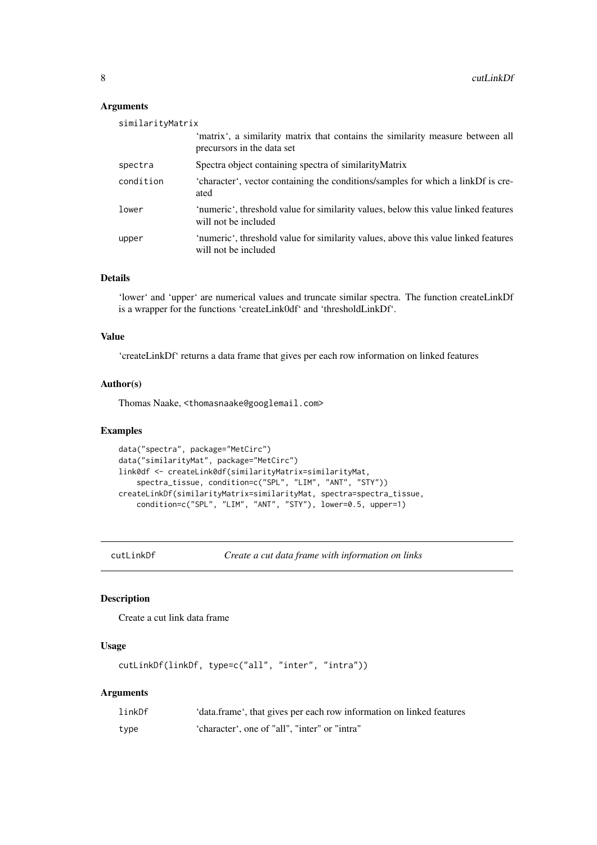# Arguments

| similarityMatrix |                                                                                                              |
|------------------|--------------------------------------------------------------------------------------------------------------|
|                  | 'matrix', a similarity matrix that contains the similarity measure between all<br>precursors in the data set |
| spectra          | Spectra object containing spectra of similarity Matrix                                                       |
| condition        | 'character', vector containing the conditions/samples for which a linkDf is cre-<br>ated                     |
| lower            | 'numeric', threshold value for similarity values, below this value linked features<br>will not be included   |
| upper            | 'numeric', threshold value for similarity values, above this value linked features<br>will not be included   |

#### Details

'lower' and 'upper' are numerical values and truncate similar spectra. The function createLinkDf is a wrapper for the functions 'createLink0df' and 'thresholdLinkDf'.

# Value

'createLinkDf' returns a data frame that gives per each row information on linked features

#### Author(s)

Thomas Naake, <thomasnaake@googlemail.com>

#### Examples

```
data("spectra", package="MetCirc")
data("similarityMat", package="MetCirc")
link0df <- createLink0df(similarityMatrix=similarityMat,
    spectra_tissue, condition=c("SPL", "LIM", "ANT", "STY"))
createLinkDf(similarityMatrix=similarityMat, spectra=spectra_tissue,
    condition=c("SPL", "LIM", "ANT", "STY"), lower=0.5, upper=1)
```
cutLinkDf *Create a cut data frame with information on links*

# Description

Create a cut link data frame

#### Usage

```
cutLinkDf(linkDf, type=c("all", "inter", "intra"))
```
#### Arguments

| linkDf | 'data.frame', that gives per each row information on linked features |
|--------|----------------------------------------------------------------------|
| type   | 'character', one of "all", "inter" or "intra"                        |

<span id="page-7-0"></span>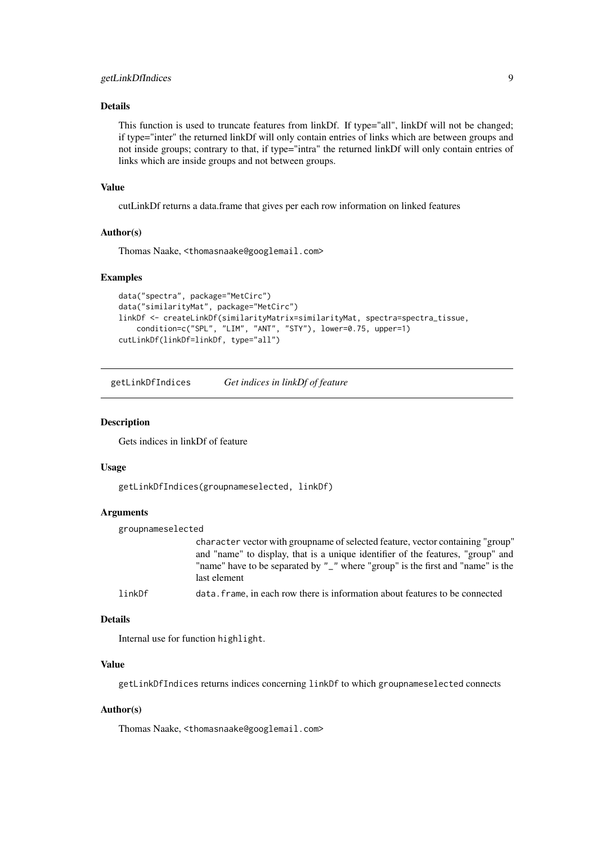#### <span id="page-8-0"></span>getLinkDfIndices 9

# Details

This function is used to truncate features from linkDf. If type="all", linkDf will not be changed; if type="inter" the returned linkDf will only contain entries of links which are between groups and not inside groups; contrary to that, if type="intra" the returned linkDf will only contain entries of links which are inside groups and not between groups.

# Value

cutLinkDf returns a data.frame that gives per each row information on linked features

#### Author(s)

Thomas Naake, <thomasnaake@googlemail.com>

# Examples

```
data("spectra", package="MetCirc")
data("similarityMat", package="MetCirc")
linkDf <- createLinkDf(similarityMatrix=similarityMat, spectra=spectra_tissue,
    condition=c("SPL", "LIM", "ANT", "STY"), lower=0.75, upper=1)
cutLinkDf(linkDf=linkDf, type="all")
```
getLinkDfIndices *Get indices in linkDf of feature*

# Description

Gets indices in linkDf of feature

#### Usage

getLinkDfIndices(groupnameselected, linkDf)

# Arguments

| groupnameselected |                                                                                                                                                                   |
|-------------------|-------------------------------------------------------------------------------------------------------------------------------------------------------------------|
|                   | character vector with group ame of selected feature, vector containing "group"<br>and "name" to display, that is a unique identifier of the features, "group" and |
|                   | "name" have to be separated by "_" where "group" is the first and "name" is the<br>last element                                                                   |
| linkDf            | data. frame, in each row there is information about features to be connected                                                                                      |

#### Details

Internal use for function highlight.

## Value

getLinkDfIndices returns indices concerning linkDf to which groupnameselected connects

#### Author(s)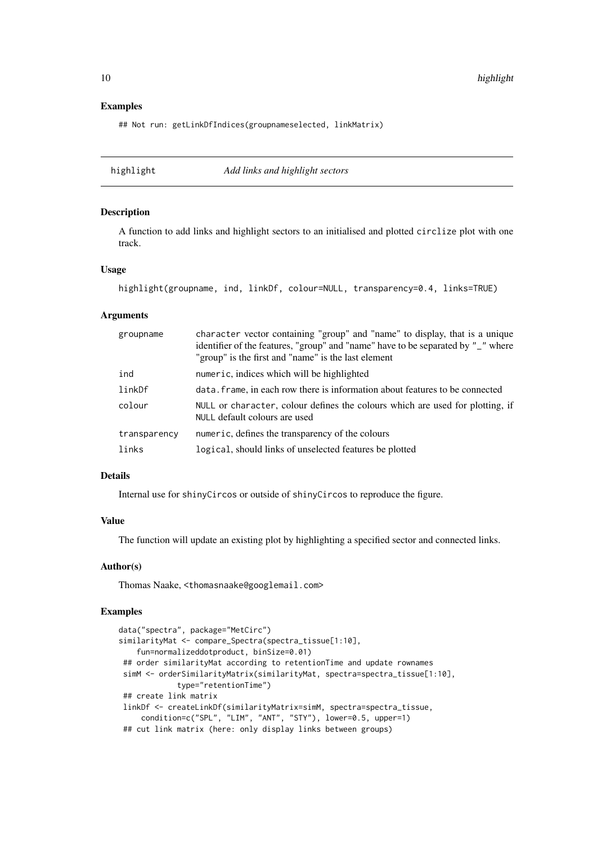#### Examples

## Not run: getLinkDfIndices(groupnameselected, linkMatrix)

highlight *Add links and highlight sectors*

#### Description

A function to add links and highlight sectors to an initialised and plotted circlize plot with one track.

# Usage

```
highlight(groupname, ind, linkDf, colour=NULL, transparency=0.4, links=TRUE)
```
#### Arguments

| groupname    | character vector containing "group" and "name" to display, that is a unique<br>identifier of the features, "group" and "name" have to be separated by "_" where<br>"group" is the first and "name" is the last element |
|--------------|------------------------------------------------------------------------------------------------------------------------------------------------------------------------------------------------------------------------|
| ind          | numeric, indices which will be highlighted                                                                                                                                                                             |
| linkDf       | data. frame, in each row there is information about features to be connected                                                                                                                                           |
| colour       | NULL or character, colour defines the colours which are used for plotting, if<br>NULL default colours are used                                                                                                         |
| transparency | numeric, defines the transparency of the colours                                                                                                                                                                       |
| links        | logical, should links of unselected features be plotted                                                                                                                                                                |

#### Details

Internal use for shinyCircos or outside of shinyCircos to reproduce the figure.

# Value

The function will update an existing plot by highlighting a specified sector and connected links.

#### Author(s)

Thomas Naake, <thomasnaake@googlemail.com>

```
data("spectra", package="MetCirc")
similarityMat <- compare_Spectra(spectra_tissue[1:10],
   fun=normalizeddotproduct, binSize=0.01)
 ## order similarityMat according to retentionTime and update rownames
simM <- orderSimilarityMatrix(similarityMat, spectra=spectra_tissue[1:10],
             type="retentionTime")
 ## create link matrix
 linkDf <- createLinkDf(similarityMatrix=simM, spectra=spectra_tissue,
     condition=c("SPL", "LIM", "ANT", "STY"), lower=0.5, upper=1)
 ## cut link matrix (here: only display links between groups)
```
<span id="page-9-0"></span>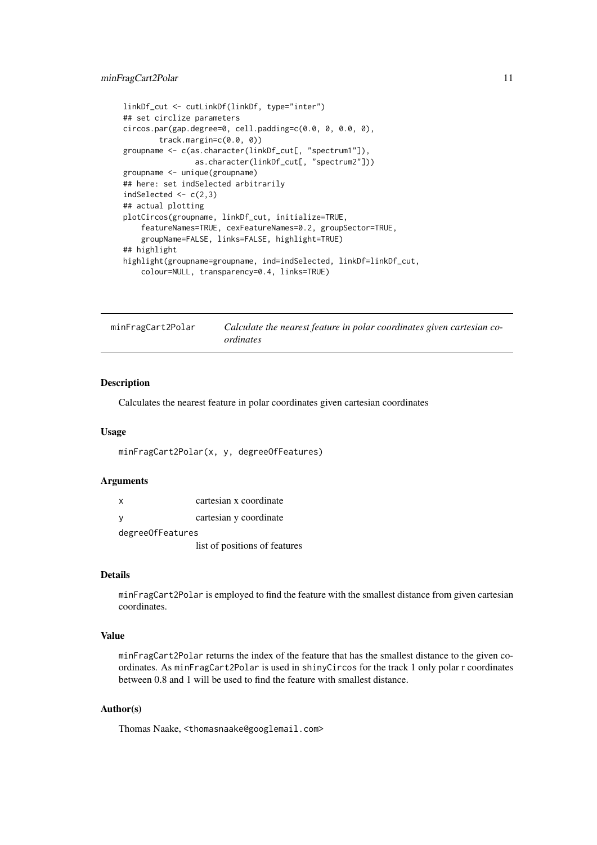#### <span id="page-10-0"></span>minFragCart2Polar 11

```
linkDf_cut <- cutLinkDf(linkDf, type="inter")
## set circlize parameters
circos.par(gap.degree=0, cell.padding=c(0.0, 0, 0.0, 0),
        track.margin=c(0.0, 0))
groupname <- c(as.character(linkDf_cut[, "spectrum1"]),
                as.character(linkDf_cut[, "spectrum2"]))
groupname <- unique(groupname)
## here: set indSelected arbitrarily
indSelected \leq c(2,3)
## actual plotting
plotCircos(groupname, linkDf_cut, initialize=TRUE,
    featureNames=TRUE, cexFeatureNames=0.2, groupSector=TRUE,
    groupName=FALSE, links=FALSE, highlight=TRUE)
## highlight
highlight(groupname=groupname, ind=indSelected, linkDf=linkDf_cut,
    colour=NULL, transparency=0.4, links=TRUE)
```
minFragCart2Polar *Calculate the nearest feature in polar coordinates given cartesian coordinates*

#### Description

Calculates the nearest feature in polar coordinates given cartesian coordinates

# Usage

```
minFragCart2Polar(x, y, degreeOfFeatures)
```
#### Arguments

| x                  | cartesian x coordinate        |
|--------------------|-------------------------------|
| -V                 | cartesian y coordinate        |
| degree Of Features |                               |
|                    | list of positions of features |

#### Details

minFragCart2Polar is employed to find the feature with the smallest distance from given cartesian coordinates.

# Value

minFragCart2Polar returns the index of the feature that has the smallest distance to the given coordinates. As minFragCart2Polar is used in shinyCircos for the track 1 only polar r coordinates between 0.8 and 1 will be used to find the feature with smallest distance.

# Author(s)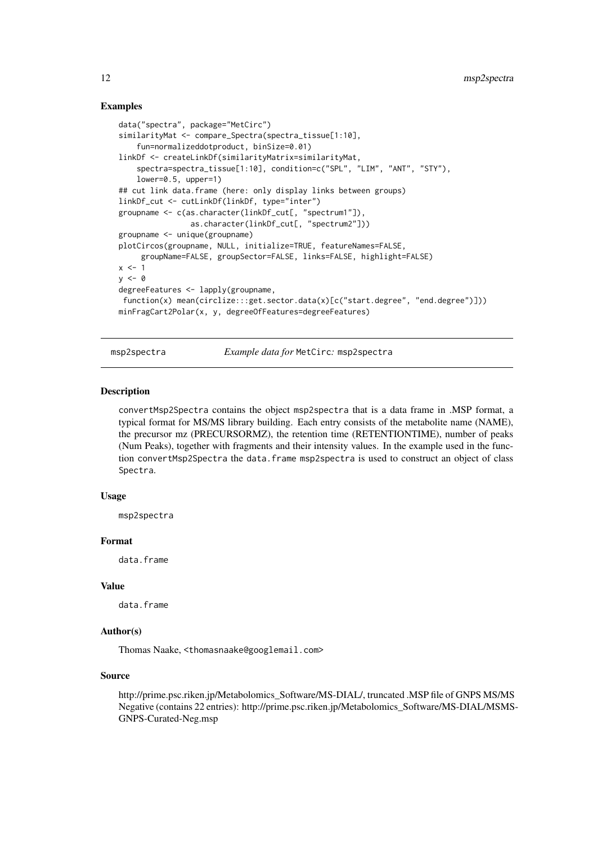#### Examples

```
data("spectra", package="MetCirc")
similarityMat <- compare_Spectra(spectra_tissue[1:10],
    fun=normalizeddotproduct, binSize=0.01)
linkDf <- createLinkDf(similarityMatrix=similarityMat,
    spectra=spectra_tissue[1:10], condition=c("SPL", "LIM", "ANT", "STY"),
    lower=0.5, upper=1)
## cut link data.frame (here: only display links between groups)
linkDf_cut <- cutLinkDf(linkDf, type="inter")
groupname <- c(as.character(linkDf_cut[, "spectrum1"]),
                as.character(linkDf_cut[, "spectrum2"]))
groupname <- unique(groupname)
plotCircos(groupname, NULL, initialize=TRUE, featureNames=FALSE,
     groupName=FALSE, groupSector=FALSE, links=FALSE, highlight=FALSE)
x \le -1y \leq -\emptysetdegreeFeatures <- lapply(groupname,
function(x) mean(circlize:::get.sector.data(x)[c("start.degree", "end.degree")]))
minFragCart2Polar(x, y, degreeOfFeatures=degreeFeatures)
```
msp2spectra *Example data for* MetCirc*:* msp2spectra

# Description

convertMsp2Spectra contains the object msp2spectra that is a data frame in .MSP format, a typical format for MS/MS library building. Each entry consists of the metabolite name (NAME), the precursor mz (PRECURSORMZ), the retention time (RETENTIONTIME), number of peaks (Num Peaks), together with fragments and their intensity values. In the example used in the function convertMsp2Spectra the data.frame msp2spectra is used to construct an object of class Spectra.

#### Usage

msp2spectra

#### Format

data.frame

# Value

data.frame

# Author(s)

Thomas Naake, <thomasnaake@googlemail.com>

# Source

http://prime.psc.riken.jp/Metabolomics\_Software/MS-DIAL/, truncated .MSP file of GNPS MS/MS Negative (contains 22 entries): http://prime.psc.riken.jp/Metabolomics\_Software/MS-DIAL/MSMS-GNPS-Curated-Neg.msp

<span id="page-11-0"></span>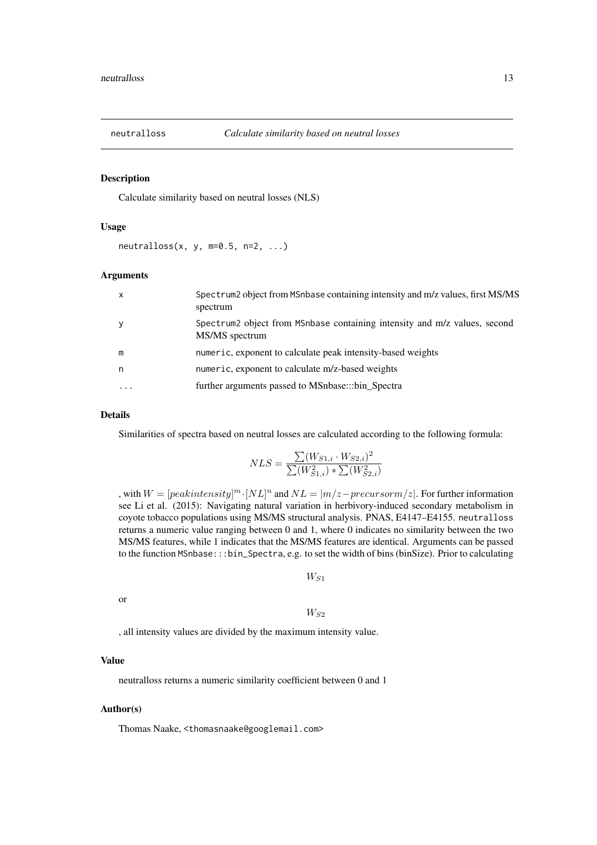<span id="page-12-0"></span>

#### Description

Calculate similarity based on neutral losses (NLS)

#### Usage

 $neutralloss(x, y, m=0.5, n=2, ...)$ 

#### Arguments

| $\boldsymbol{\mathsf{x}}$ | Spectrum2 object from MSnbase containing intensity and m/z values, first MS/MS<br>spectrum  |
|---------------------------|---------------------------------------------------------------------------------------------|
| y                         | Spectrum2 object from MSnbase containing intensity and m/z values, second<br>MS/MS spectrum |
| m                         | numeric, exponent to calculate peak intensity-based weights                                 |
| n                         | numeric, exponent to calculate m/z-based weights                                            |
| $\ddotsc$                 | further arguments passed to MSnbase:::bin_Spectra                                           |

# Details

Similarities of spectra based on neutral losses are calculated according to the following formula:

$$
NLS = \frac{\sum (W_{S1,i} \cdot W_{S2,i})^2}{\sum (W_{S1,i}^2) * \sum (W_{S2,i}^2)}
$$

, with  $W = [peak intensity]^m \cdot [NL]^n$  and  $NL = |m/z - precursorm/z|$ . For further information see Li et al. (2015): Navigating natural variation in herbivory-induced secondary metabolism in coyote tobacco populations using MS/MS structural analysis. PNAS, E4147–E4155. neutralloss returns a numeric value ranging between 0 and 1, where 0 indicates no similarity between the two MS/MS features, while 1 indicates that the MS/MS features are identical. Arguments can be passed to the function MSnbase:::bin\_Spectra, e.g. to set the width of bins (binSize). Prior to calculating

 $W_{S1}$ 

or

 $W_{S2}$ 

, all intensity values are divided by the maximum intensity value.

#### Value

neutralloss returns a numeric similarity coefficient between 0 and 1

#### Author(s)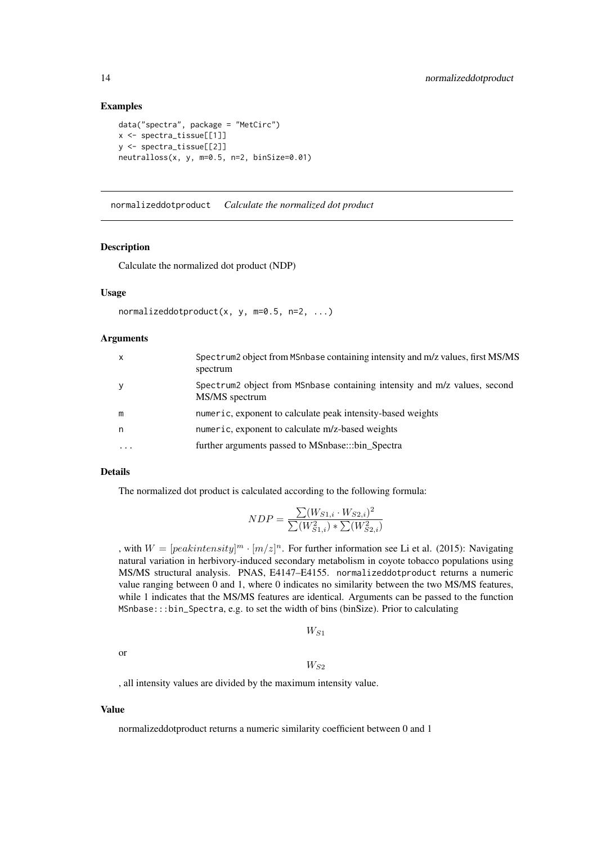#### Examples

```
data("spectra", package = "MetCirc")
x <- spectra_tissue[[1]]
y <- spectra_tissue[[2]]
neutralloss(x, y, m=0.5, n=2, binSize=0.01)
```
normalizeddotproduct *Calculate the normalized dot product*

#### Description

Calculate the normalized dot product (NDP)

#### Usage

```
normalizeddotproduct(x, y, m=0.5, n=2, ...)
```
## Arguments

| $\mathsf{x}$ | Spectrum2 object from MSnbase containing intensity and m/z values, first MS/MS<br>spectrum  |
|--------------|---------------------------------------------------------------------------------------------|
| У            | Spectrum2 object from MSnbase containing intensity and m/z values, second<br>MS/MS spectrum |
| m            | numeric, exponent to calculate peak intensity-based weights                                 |
| n            | numeric, exponent to calculate m/z-based weights                                            |
| $\ddotsc$    | further arguments passed to MSnbase:::bin_Spectra                                           |

#### Details

The normalized dot product is calculated according to the following formula:

$$
NDP = \frac{\sum (W_{S1,i} \cdot W_{S2,i})^2}{\sum (W_{S1,i}^2) * \sum (W_{S2,i}^2)}
$$

, with  $W = [peak intensity]^m \cdot [m/z]^n$ . For further information see Li et al. (2015): Navigating natural variation in herbivory-induced secondary metabolism in coyote tobacco populations using MS/MS structural analysis. PNAS, E4147–E4155. normalizeddotproduct returns a numeric value ranging between 0 and 1, where 0 indicates no similarity between the two MS/MS features, while 1 indicates that the MS/MS features are identical. Arguments can be passed to the function MSnbase:::bin\_Spectra, e.g. to set the width of bins (binSize). Prior to calculating

```
W_{S1}
```
or

 $W_{S2}$ 

, all intensity values are divided by the maximum intensity value.

#### Value

normalizeddotproduct returns a numeric similarity coefficient between 0 and 1

<span id="page-13-0"></span>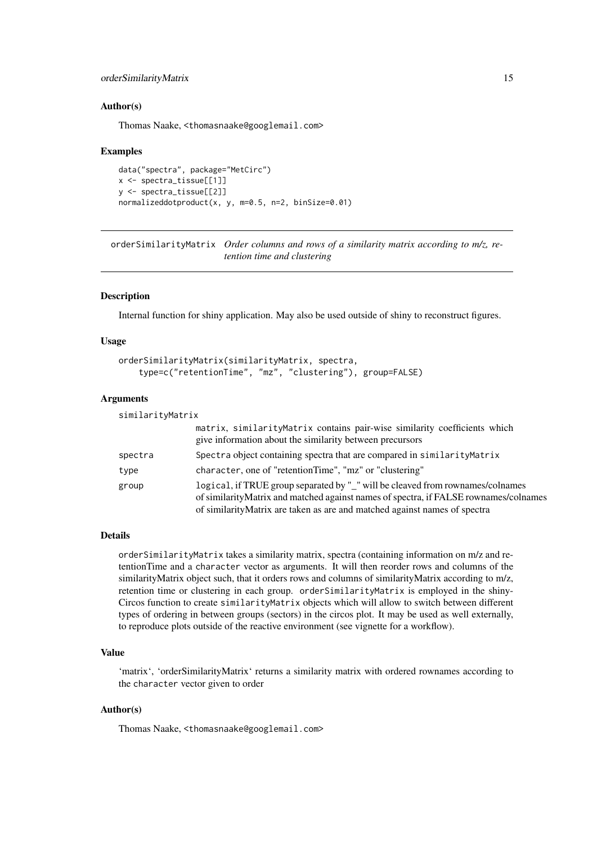#### <span id="page-14-0"></span>orderSimilarityMatrix 15

#### Author(s)

Thomas Naake, <thomasnaake@googlemail.com>

#### Examples

```
data("spectra", package="MetCirc")
x <- spectra_tissue[[1]]
y <- spectra_tissue[[2]]
normalizeddotproduct(x, y, m=0.5, n=2, binSize=0.01)
```
orderSimilarityMatrix *Order columns and rows of a similarity matrix according to m/z, retention time and clustering*

#### Description

Internal function for shiny application. May also be used outside of shiny to reconstruct figures.

#### Usage

```
orderSimilarityMatrix(similarityMatrix, spectra,
    type=c("retentionTime", "mz", "clustering"), group=FALSE)
```
#### Arguments

| similarityMatrix |                                                                                                                                                                                                                                                      |
|------------------|------------------------------------------------------------------------------------------------------------------------------------------------------------------------------------------------------------------------------------------------------|
|                  | matrix, similarityMatrix contains pair-wise similarity coefficients which<br>give information about the similarity between precursors                                                                                                                |
| spectra          | Spectra object containing spectra that are compared in similarity Matrix                                                                                                                                                                             |
| type             | character, one of "retentionTime", "mz" or "clustering"                                                                                                                                                                                              |
| group            | logical, if TRUE group separated by "_" will be cleaved from rownames/colnames<br>of similarityMatrix and matched against names of spectra, if FALSE rownames/colnames<br>of similarity Matrix are taken as are and matched against names of spectra |

#### Details

orderSimilarityMatrix takes a similarity matrix, spectra (containing information on m/z and retentionTime and a character vector as arguments. It will then reorder rows and columns of the similarityMatrix object such, that it orders rows and columns of similarityMatrix according to m/z, retention time or clustering in each group. orderSimilarityMatrix is employed in the shiny-Circos function to create similarityMatrix objects which will allow to switch between different types of ordering in between groups (sectors) in the circos plot. It may be used as well externally, to reproduce plots outside of the reactive environment (see vignette for a workflow).

# Value

'matrix', 'orderSimilarityMatrix' returns a similarity matrix with ordered rownames according to the character vector given to order

# Author(s)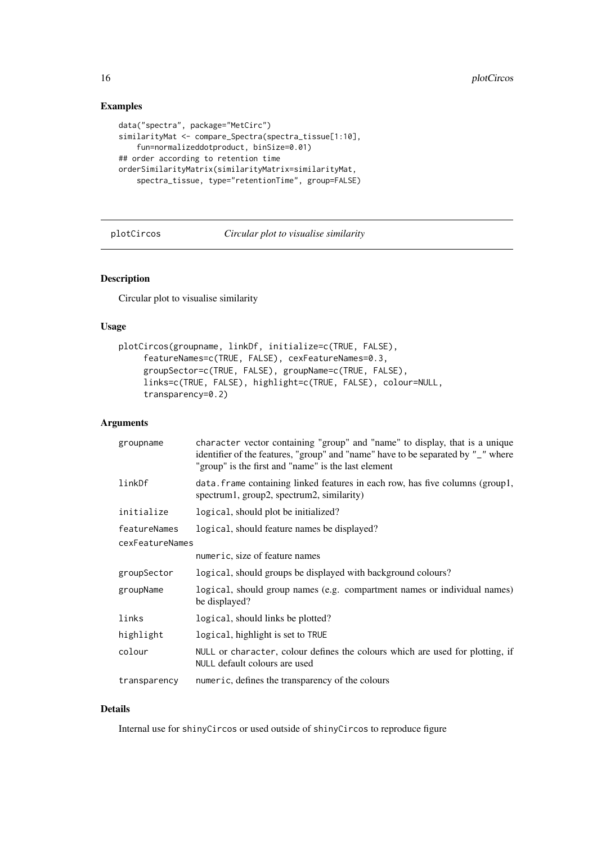# Examples

```
data("spectra", package="MetCirc")
similarityMat <- compare_Spectra(spectra_tissue[1:10],
   fun=normalizeddotproduct, binSize=0.01)
## order according to retention time
orderSimilarityMatrix(similarityMatrix=similarityMat,
    spectra_tissue, type="retentionTime", group=FALSE)
```
plotCircos *Circular plot to visualise similarity*

# Description

Circular plot to visualise similarity

#### Usage

```
plotCircos(groupname, linkDf, initialize=c(TRUE, FALSE),
     featureNames=c(TRUE, FALSE), cexFeatureNames=0.3,
     groupSector=c(TRUE, FALSE), groupName=c(TRUE, FALSE),
     links=c(TRUE, FALSE), highlight=c(TRUE, FALSE), colour=NULL,
     transparency=0.2)
```
# Arguments

| groupname       | character vector containing "group" and "name" to display, that is a unique<br>identifier of the features, "group" and "name" have to be separated by "_" where<br>"group" is the first and "name" is the last element |
|-----------------|------------------------------------------------------------------------------------------------------------------------------------------------------------------------------------------------------------------------|
| linkDf          | data. frame containing linked features in each row, has five columns (group1,<br>spectrum1, group2, spectrum2, similarity)                                                                                             |
| initialize      | logical, should plot be initialized?                                                                                                                                                                                   |
| featureNames    | logical, should feature names be displayed?                                                                                                                                                                            |
| cexFeatureNames |                                                                                                                                                                                                                        |
|                 | numeric, size of feature names                                                                                                                                                                                         |
| groupSector     | logical, should groups be displayed with background colours?                                                                                                                                                           |
| groupName       | logical, should group names (e.g. compartment names or individual names)<br>be displayed?                                                                                                                              |
| links           | logical, should links be plotted?                                                                                                                                                                                      |
| highlight       | logical, highlight is set to TRUE                                                                                                                                                                                      |
| colour          | NULL or character, colour defines the colours which are used for plotting, if<br>NULL default colours are used                                                                                                         |
| transparency    | numeric, defines the transparency of the colours                                                                                                                                                                       |

# Details

Internal use for shinyCircos or used outside of shinyCircos to reproduce figure

<span id="page-15-0"></span>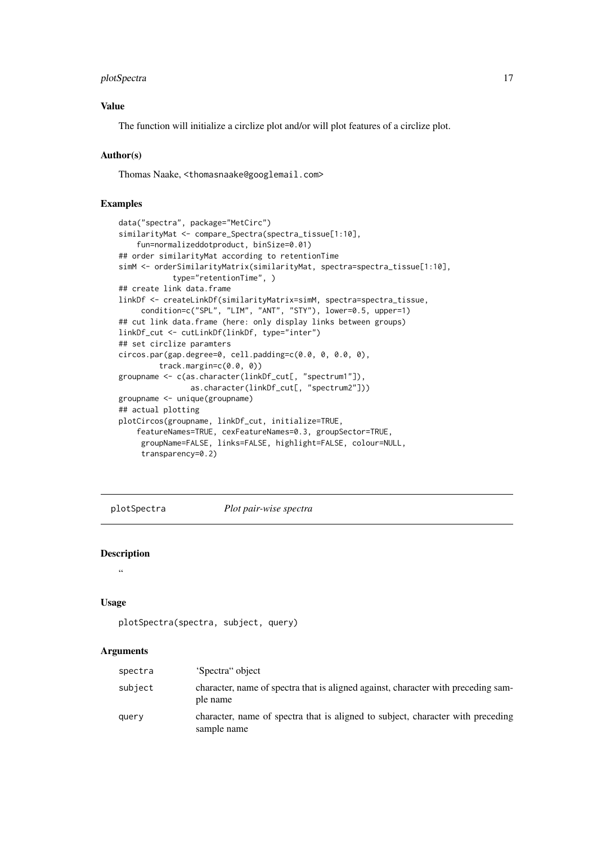#### <span id="page-16-0"></span>plotSpectra 17

# Value

The function will initialize a circlize plot and/or will plot features of a circlize plot.

#### Author(s)

Thomas Naake, <thomasnaake@googlemail.com>

# Examples

```
data("spectra", package="MetCirc")
similarityMat <- compare_Spectra(spectra_tissue[1:10],
    fun=normalizeddotproduct, binSize=0.01)
## order similarityMat according to retentionTime
simM <- orderSimilarityMatrix(similarityMat, spectra=spectra_tissue[1:10],
            type="retentionTime", )
## create link data.frame
linkDf <- createLinkDf(similarityMatrix=simM, spectra=spectra_tissue,
     condition=c("SPL", "LIM", "ANT", "STY"), lower=0.5, upper=1)
## cut link data.frame (here: only display links between groups)
linkDf_cut <- cutLinkDf(linkDf, type="inter")
## set circlize paramters
circos.par(gap.degree=0, cell.padding=c(0.0, 0, 0.0, 0),
         track.margin=c(0.0, 0))
groupname <- c(as.character(linkDf_cut[, "spectrum1"]),
                as.character(linkDf_cut[, "spectrum2"]))
groupname <- unique(groupname)
## actual plotting
plotCircos(groupname, linkDf_cut, initialize=TRUE,
    featureNames=TRUE, cexFeatureNames=0.3, groupSector=TRUE,
     groupName=FALSE, links=FALSE, highlight=FALSE, colour=NULL,
     transparency=0.2)
```
plotSpectra *Plot pair-wise spectra*

#### Description

```
"
```
#### Usage

```
plotSpectra(spectra, subject, query)
```
## Arguments

| spectra | 'Spectra'' object                                                                              |
|---------|------------------------------------------------------------------------------------------------|
| subject | character, name of spectra that is aligned against, character with preceding sam-<br>ple name  |
| query   | character, name of spectra that is aligned to subject, character with preceding<br>sample name |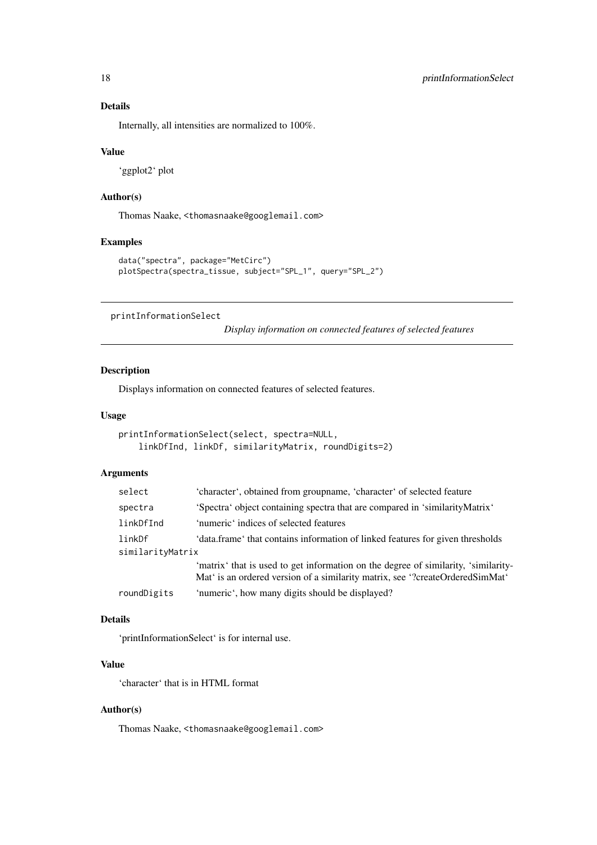# <span id="page-17-0"></span>Details

Internally, all intensities are normalized to 100%.

# Value

'ggplot2' plot

# Author(s)

Thomas Naake, <thomasnaake@googlemail.com>

# Examples

```
data("spectra", package="MetCirc")
plotSpectra(spectra_tissue, subject="SPL_1", query="SPL_2")
```
printInformationSelect

*Display information on connected features of selected features*

# Description

Displays information on connected features of selected features.

# Usage

```
printInformationSelect(select, spectra=NULL,
   linkDfInd, linkDf, similarityMatrix, roundDigits=2)
```
#### Arguments

| select           | 'character', obtained from groupname, 'character' of selected feature                                                                                               |  |
|------------------|---------------------------------------------------------------------------------------------------------------------------------------------------------------------|--|
| spectra          | 'Spectra' object containing spectra that are compared in 'similarityMatrix'                                                                                         |  |
| linkDfInd        | 'numeric' indices of selected features                                                                                                                              |  |
| linkDf           | 'data.frame' that contains information of linked features for given thresholds                                                                                      |  |
| similarityMatrix |                                                                                                                                                                     |  |
|                  | 'matrix' that is used to get information on the degree of similarity, 'similarity-<br>Mat' is an ordered version of a similarity matrix, see "?createOrderedSimMat" |  |
| roundDigits      | 'numeric', how many digits should be displayed?                                                                                                                     |  |

# Details

'printInformationSelect' is for internal use.

## Value

'character' that is in HTML format

# Author(s)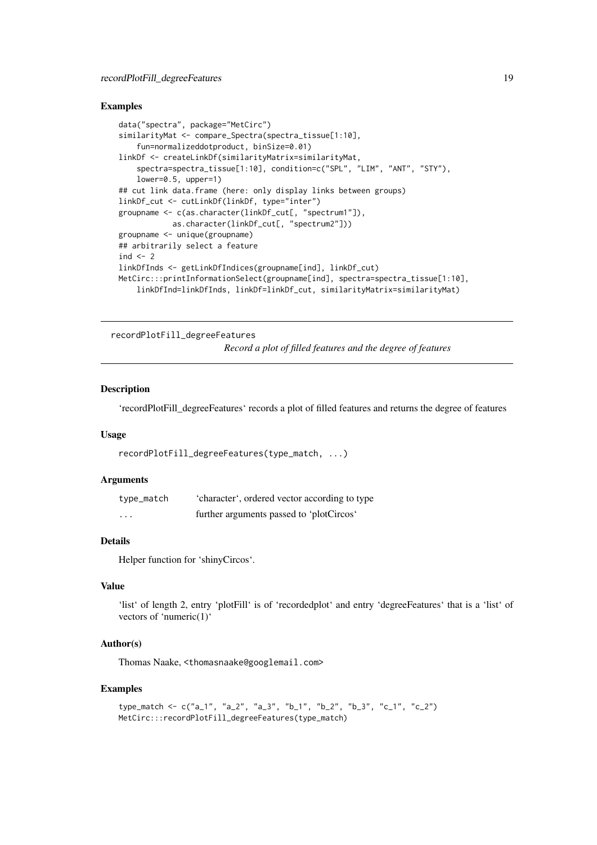#### <span id="page-18-0"></span>recordPlotFill\_degreeFeatures 19

#### Examples

```
data("spectra", package="MetCirc")
similarityMat <- compare_Spectra(spectra_tissue[1:10],
    fun=normalizeddotproduct, binSize=0.01)
linkDf <- createLinkDf(similarityMatrix=similarityMat,
    spectra=spectra_tissue[1:10], condition=c("SPL", "LIM", "ANT", "STY"),
    lower=0.5, upper=1)
## cut link data.frame (here: only display links between groups)
linkDf_cut <- cutLinkDf(linkDf, type="inter")
groupname <- c(as.character(linkDf_cut[, "spectrum1"]),
           as.character(linkDf_cut[, "spectrum2"]))
groupname <- unique(groupname)
## arbitrarily select a feature
ind <-2linkDfInds <- getLinkDfIndices(groupname[ind], linkDf_cut)
MetCirc:::printInformationSelect(groupname[ind], spectra=spectra_tissue[1:10],
    linkDfInd=linkDfInds, linkDf=linkDf_cut, similarityMatrix=similarityMat)
```
recordPlotFill\_degreeFeatures

*Record a plot of filled features and the degree of features*

# Description

'recordPlotFill\_degreeFeatures' records a plot of filled features and returns the degree of features

# Usage

```
recordPlotFill_degreeFeatures(type_match, ...)
```
#### Arguments

| type_match | 'character', ordered vector according to type |
|------------|-----------------------------------------------|
| $\cdots$   | further arguments passed to 'plotCircos'      |

#### Details

Helper function for 'shinyCircos'.

# Value

'list' of length 2, entry 'plotFill' is of 'recordedplot' and entry 'degreeFeatures' that is a 'list' of vectors of 'numeric(1)'

#### Author(s)

Thomas Naake, <thomasnaake@googlemail.com>

```
type_match <- c("a_1", "a_2", "a_3", "b_1", "b_2", "b_3", "c_1", "c_2")
MetCirc:::recordPlotFill_degreeFeatures(type_match)
```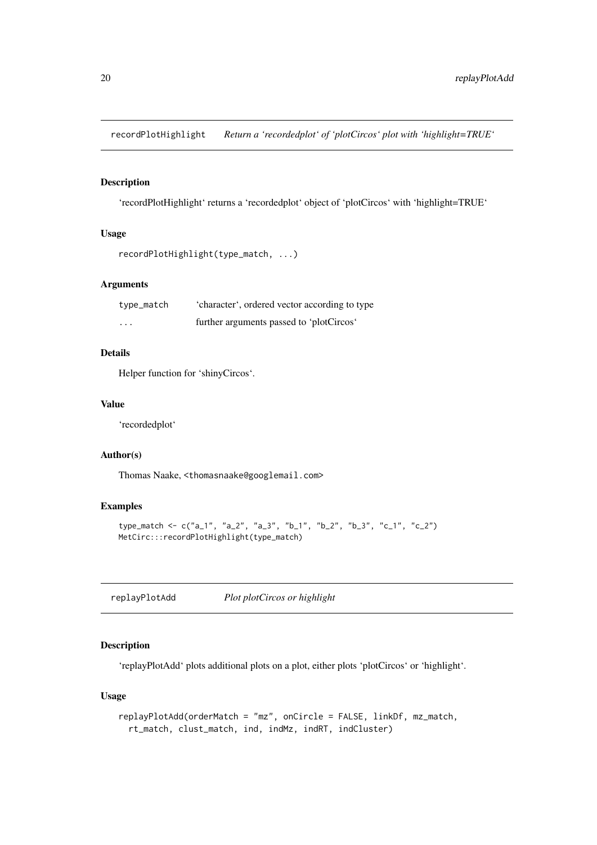<span id="page-19-0"></span>recordPlotHighlight *Return a 'recordedplot' of 'plotCircos' plot with 'highlight=TRUE'*

# Description

'recordPlotHighlight' returns a 'recordedplot' object of 'plotCircos' with 'highlight=TRUE'

#### Usage

```
recordPlotHighlight(type_match, ...)
```
# Arguments

| type_match | 'character', ordered vector according to type |
|------------|-----------------------------------------------|
| $\cdots$   | further arguments passed to 'plotCircos'      |

# Details

Helper function for 'shinyCircos'.

# Value

'recordedplot'

# Author(s)

Thomas Naake, <thomasnaake@googlemail.com>

# Examples

```
type_match <- c("a_1", "a_2", "a_3", "b_1", "b_2", "b_3", "c_1", "c_2")
MetCirc:::recordPlotHighlight(type_match)
```
replayPlotAdd *Plot plotCircos or highlight*

# Description

'replayPlotAdd' plots additional plots on a plot, either plots 'plotCircos' or 'highlight'.

# Usage

```
replayPlotAdd(orderMatch = "mz", onCircle = FALSE, linkDf, mz_match,
  rt_match, clust_match, ind, indMz, indRT, indCluster)
```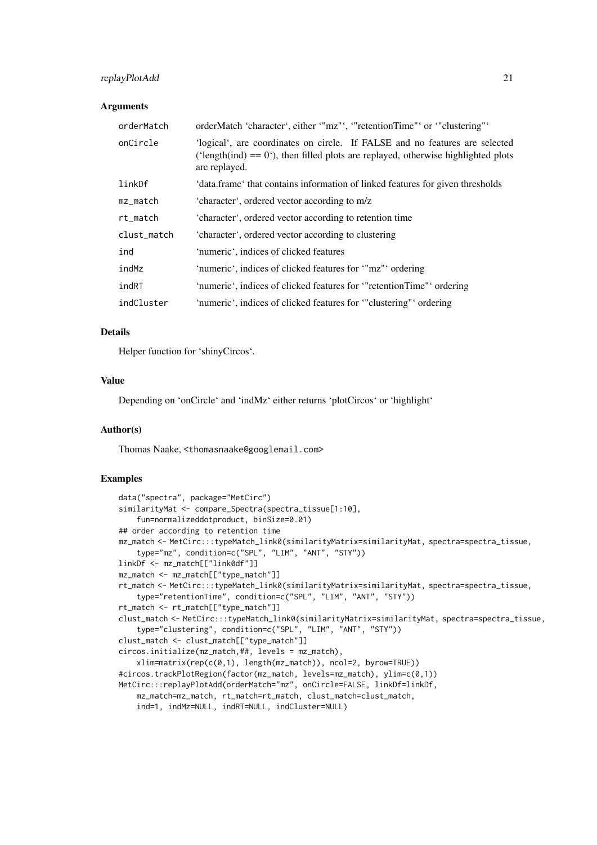#### replayPlotAdd 21

#### Arguments

| orderMatch  | orderMatch 'character', either '"mz"', '"retentionTime"' or '"clustering"'                                                                                                          |
|-------------|-------------------------------------------------------------------------------------------------------------------------------------------------------------------------------------|
| onCircle    | 'logical', are coordinates on circle. If FALSE and no features are selected<br>('length(ind) = $0$ '), then filled plots are replayed, otherwise highlighted plots<br>are replayed. |
| linkDf      | 'data.frame' that contains information of linked features for given thresholds                                                                                                      |
| mz_match    | 'character', ordered vector according to m/z                                                                                                                                        |
| rt_match    | 'character', ordered vector according to retention time                                                                                                                             |
| clust_match | 'character', ordered vector according to clustering                                                                                                                                 |
| ind         | 'numeric', indices of clicked features                                                                                                                                              |
| indMz       | 'numeric', indices of clicked features for "mz"' ordering                                                                                                                           |
| indRT       | 'numeric', indices of clicked features for "retentionTime" ordering                                                                                                                 |
| indCluster  | 'numeric', indices of clicked features for "clustering" ordering                                                                                                                    |

#### Details

Helper function for 'shinyCircos'.

# Value

Depending on 'onCircle' and 'indMz' either returns 'plotCircos' or 'highlight'

#### Author(s)

Thomas Naake, <thomasnaake@googlemail.com>

```
data("spectra", package="MetCirc")
similarityMat <- compare_Spectra(spectra_tissue[1:10],
   fun=normalizeddotproduct, binSize=0.01)
## order according to retention time
mz_match <- MetCirc:::typeMatch_link0(similarityMatrix=similarityMat, spectra=spectra_tissue,
   type="mz", condition=c("SPL", "LIM", "ANT", "STY"))
linkDf <- mz_match[["link0df"]]
mz_match <- mz_match[["type_match"]]
rt_match <- MetCirc:::typeMatch_link0(similarityMatrix=similarityMat, spectra=spectra_tissue,
    type="retentionTime", condition=c("SPL", "LIM", "ANT", "STY"))
rt_match <- rt_match[["type_match"]]
clust_match <- MetCirc:::typeMatch_link0(similarityMatrix=similarityMat, spectra=spectra_tissue,
    type="clustering", condition=c("SPL", "LIM", "ANT", "STY"))
clust_match <- clust_match[["type_match"]]
circos.initialize(mz_match,##, levels = mz_match),
    xlim=matrix(rep(c(0,1), length(mz_match)), ncol=2, byrow=TRUE))
#circos.trackPlotRegion(factor(mz_match, levels=mz_match), ylim=c(0,1))
MetCirc:::replayPlotAdd(orderMatch="mz", onCircle=FALSE, linkDf=linkDf,
    mz_match=mz_match, rt_match=rt_match, clust_match=clust_match,
    ind=1, indMz=NULL, indRT=NULL, indCluster=NULL)
```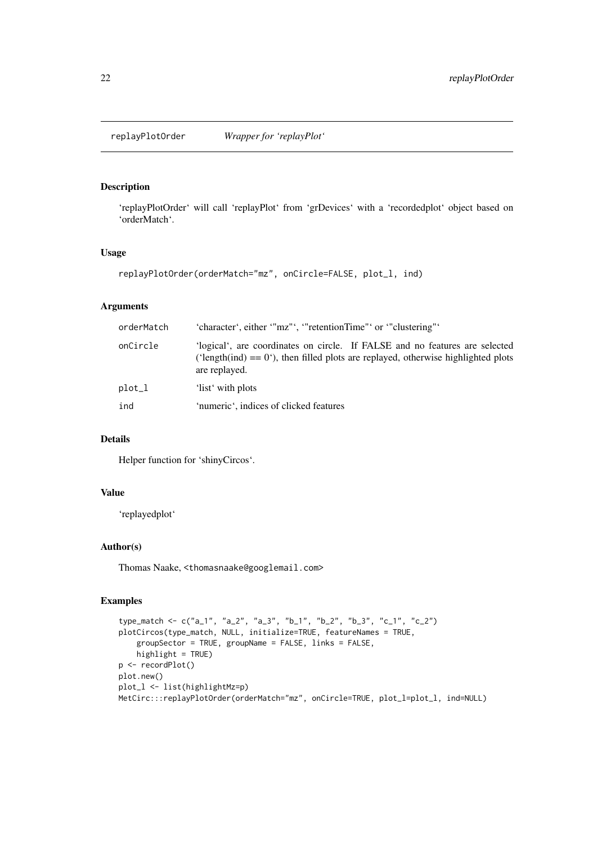<span id="page-21-0"></span>

# Description

'replayPlotOrder' will call 'replayPlot' from 'grDevices' with a 'recordedplot' object based on 'orderMatch'.

# Usage

```
replayPlotOrder(orderMatch="mz", onCircle=FALSE, plot_l, ind)
```
# Arguments

| orderMatch | 'character', either '"mz"', '"retentionTime"' or '"clustering"'                                                                                                                      |
|------------|--------------------------------------------------------------------------------------------------------------------------------------------------------------------------------------|
| onCircle   | 'logical', are coordinates on circle. If FALSE and no features are selected<br>('length(ind) $== 0$ '), then filled plots are replayed, otherwise highlighted plots<br>are replayed. |
| plot_l     | 'list' with plots                                                                                                                                                                    |
| ind        | 'numeric', indices of clicked features                                                                                                                                               |

#### Details

Helper function for 'shinyCircos'.

# Value

'replayedplot'

# Author(s)

Thomas Naake, <thomasnaake@googlemail.com>

```
type_match <- c("a_1", "a_2", "a_3", "b_1", "b_2", "b_3", "c_1", "c_2")
plotCircos(type_match, NULL, initialize=TRUE, featureNames = TRUE,
    groupSector = TRUE, groupName = FALSE, links = FALSE,
    highlight = TRUE)
p <- recordPlot()
plot.new()
plot_l <- list(highlightMz=p)
MetCirc:::replayPlotOrder(orderMatch="mz", onCircle=TRUE, plot_l=plot_l, ind=NULL)
```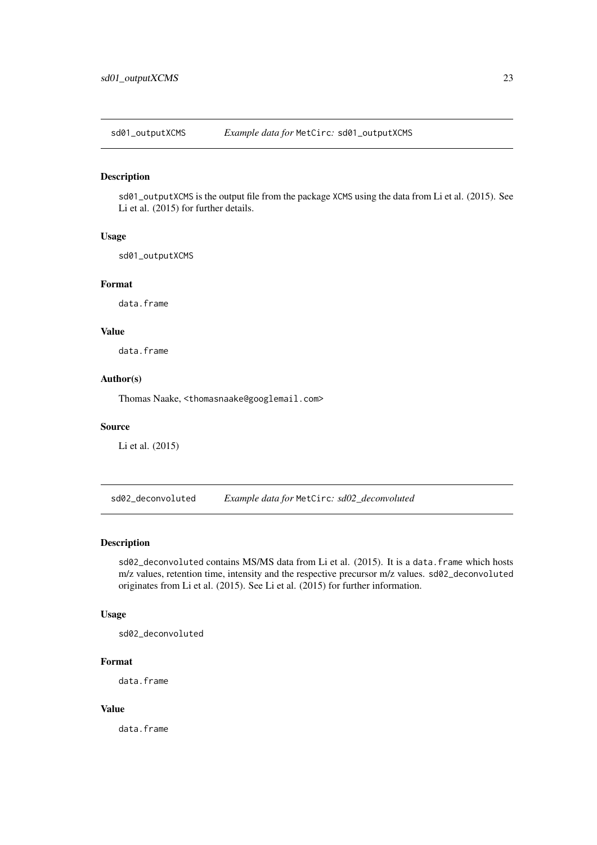<span id="page-22-0"></span>sd01\_outputXCMS *Example data for* MetCirc*:* sd01\_outputXCMS

#### Description

sd01\_outputXCMS is the output file from the package XCMS using the data from Li et al. (2015). See Li et al. (2015) for further details.

# Usage

sd01\_outputXCMS

#### Format

data.frame

#### Value

data.frame

# Author(s)

Thomas Naake, <thomasnaake@googlemail.com>

# Source

Li et al. (2015)

sd02\_deconvoluted *Example data for* MetCirc*: sd02\_deconvoluted*

# Description

sd02\_deconvoluted contains MS/MS data from Li et al. (2015). It is a data.frame which hosts m/z values, retention time, intensity and the respective precursor m/z values. sd02\_deconvoluted originates from Li et al. (2015). See Li et al. (2015) for further information.

# Usage

sd02\_deconvoluted

#### Format

data.frame

# Value

data.frame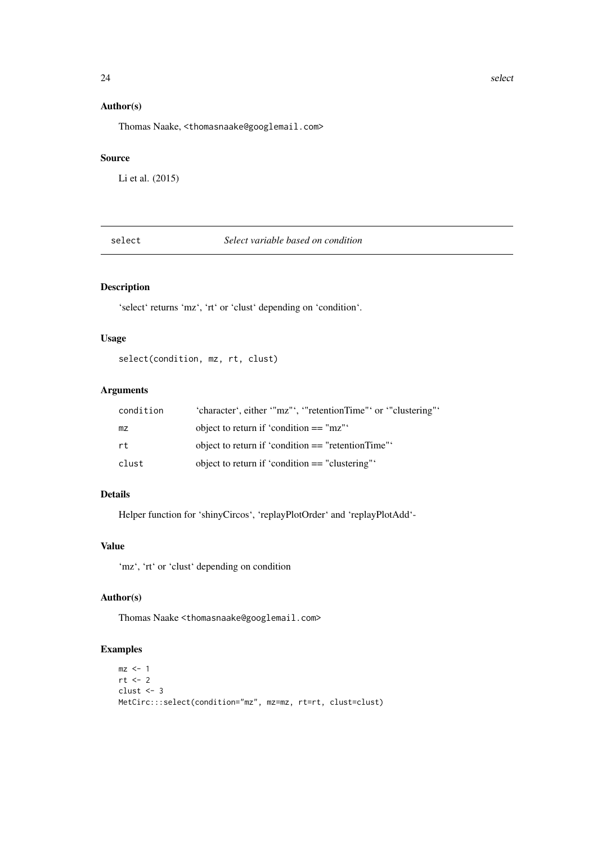# Author(s)

Thomas Naake, <thomasnaake@googlemail.com>

#### Source

Li et al. (2015)

select *Select variable based on condition*

# Description

'select' returns 'mz', 'rt' or 'clust' depending on 'condition'.

# Usage

select(condition, mz, rt, clust)

# Arguments

| condition | 'character', either '"mz"', '"retentionTime"' or '"clustering"' |
|-----------|-----------------------------------------------------------------|
| mz        | object to return if 'condition $==$ "mz"'                       |
| rt        | object to return if 'condition $==$ "retentionTime"             |
| clust     | object to return if 'condition $==$ "clustering"'               |

# Details

Helper function for 'shinyCircos', 'replayPlotOrder' and 'replayPlotAdd'-

# Value

'mz', 'rt' or 'clust' depending on condition

# Author(s)

Thomas Naake <thomasnaake@googlemail.com>

# Examples

```
mz \leq -1rt < -2clust <- 3
MetCirc:::select(condition="mz", mz=mz, rt=rt, clust=clust)
```
<span id="page-23-0"></span>24 selection of the contract of the contract of the contract of the contract of the contract of the contract of the contract of the contract of the contract of the contract of the contract of the contract of the contract o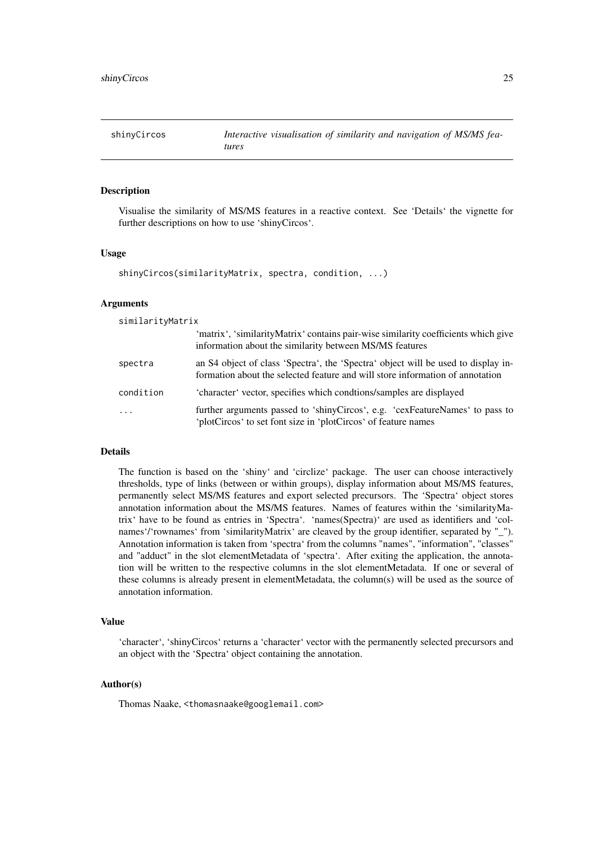<span id="page-24-0"></span>shinyCircos *Interactive visualisation of similarity and navigation of MS/MS features*

# Description

Visualise the similarity of MS/MS features in a reactive context. See 'Details' the vignette for further descriptions on how to use 'shinyCircos'.

#### Usage

```
shinyCircos(similarityMatrix, spectra, condition, ...)
```
#### Arguments

| similarityMatrix        |                                                                                                                                                                    |
|-------------------------|--------------------------------------------------------------------------------------------------------------------------------------------------------------------|
|                         | 'matrix', 'similarityMatrix' contains pair-wise similarity coefficients which give<br>information about the similarity between MS/MS features                      |
| spectra                 | an S4 object of class 'Spectra', the 'Spectra' object will be used to display in-<br>formation about the selected feature and will store information of annotation |
| condition               | 'character' vector, specifies which condtions/samples are displayed                                                                                                |
| $\cdot$ $\cdot$ $\cdot$ | further arguments passed to 'shinyCircos', e.g. 'cexFeatureNames' to pass to<br>'plotCircos' to set font size in 'plotCircos' of feature names                     |

#### Details

The function is based on the 'shiny' and 'circlize' package. The user can choose interactively thresholds, type of links (between or within groups), display information about MS/MS features, permanently select MS/MS features and export selected precursors. The 'Spectra' object stores annotation information about the MS/MS features. Names of features within the 'similarityMatrix' have to be found as entries in 'Spectra'. 'names(Spectra)' are used as identifiers and 'colnames'/'rownames' from 'similarityMatrix' are cleaved by the group identifier, separated by "\_"). Annotation information is taken from 'spectra' from the columns "names", "information", "classes" and "adduct" in the slot elementMetadata of 'spectra'. After exiting the application, the annotation will be written to the respective columns in the slot elementMetadata. If one or several of these columns is already present in elementMetadata, the column(s) will be used as the source of annotation information.

#### Value

'character', 'shinyCircos' returns a 'character' vector with the permanently selected precursors and an object with the 'Spectra' object containing the annotation.

#### Author(s)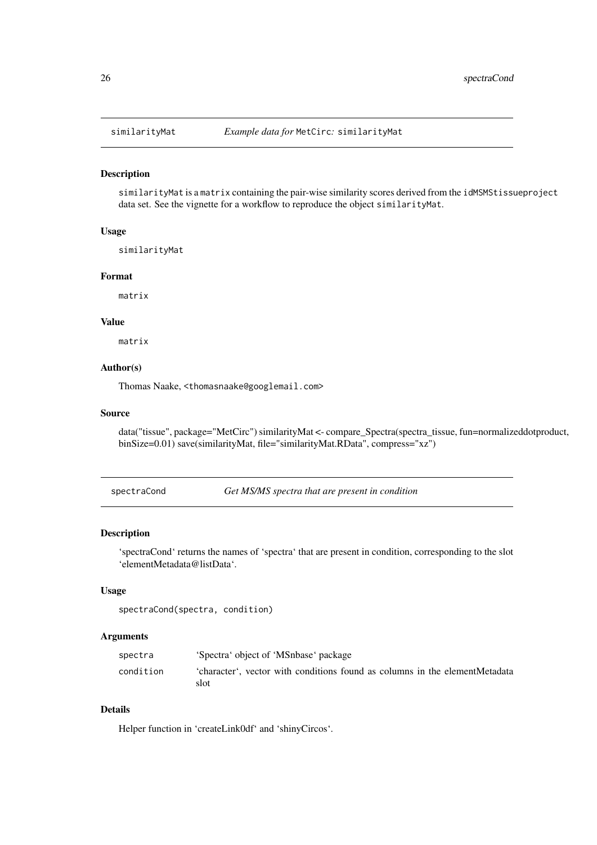<span id="page-25-0"></span>

#### Description

similarityMat is a matrix containing the pair-wise similarity scores derived from the idMSMStissueproject data set. See the vignette for a workflow to reproduce the object similarityMat.

# Usage

similarityMat

#### Format

matrix

#### Value

matrix

# Author(s)

Thomas Naake, <thomasnaake@googlemail.com>

# Source

data("tissue", package="MetCirc") similarityMat <- compare\_Spectra(spectra\_tissue, fun=normalizeddotproduct, binSize=0.01) save(similarityMat, file="similarityMat.RData", compress="xz")

spectraCond *Get MS/MS spectra that are present in condition*

# Description

'spectraCond' returns the names of 'spectra' that are present in condition, corresponding to the slot 'elementMetadata@listData'.

#### Usage

```
spectraCond(spectra, condition)
```
#### Arguments

| spectra   | 'Spectra' object of 'MSnbase' package                                               |
|-----------|-------------------------------------------------------------------------------------|
| condition | 'character', vector with conditions found as columns in the elementMetadata<br>slot |

# Details

Helper function in 'createLink0df' and 'shinyCircos'.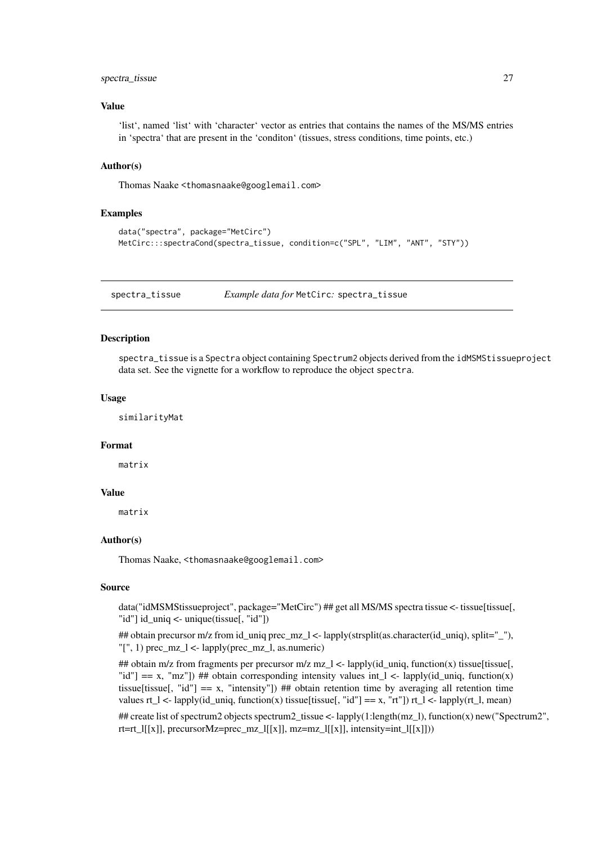#### <span id="page-26-0"></span>spectra\_tissue 27

#### Value

'list', named 'list' with 'character' vector as entries that contains the names of the MS/MS entries in 'spectra' that are present in the 'conditon' (tissues, stress conditions, time points, etc.)

# Author(s)

Thomas Naake <thomasnaake@googlemail.com>

# Examples

```
data("spectra", package="MetCirc")
MetCirc:::spectraCond(spectra_tissue, condition=c("SPL", "LIM", "ANT", "STY"))
```
spectra\_tissue *Example data for* MetCirc*:* spectra\_tissue

# Description

spectra\_tissue is a Spectra object containing Spectrum2 objects derived from the idMSMStissueproject data set. See the vignette for a workflow to reproduce the object spectra.

#### Usage

similarityMat

#### Format

matrix

# Value

matrix

#### Author(s)

Thomas Naake, <thomasnaake@googlemail.com>

# Source

data("idMSMStissueproject", package="MetCirc") ## get all MS/MS spectra tissue <- tissue[tissue], "id"] id\_uniq <- unique(tissue[, "id"])

## obtain precursor m/z from id\_uniq prec\_mz\_l <- lapply(strsplit(as.character(id\_uniq), split="\_"),  $T$ "[", 1) prec\_mz\_l <- lapply(prec\_mz\_l, as.numeric)

## obtain m/z from fragments per precursor m/z mz\_l <- lapply(id\_uniq, function(x) tissue[tissue], "id"] == x, "mz"]) ## obtain corresponding intensity values int  $l <$  lapply(id uniq, function(x) tissue[tissue[, "id"]  $= x$ , "intensity"]) ## obtain retention time by averaging all retention time values rt\_l <- lapply(id\_uniq, function(x) tissue[tissue[, "id"] == x, "rt"]) rt\_l <- lapply(rt\_l, mean)

## create list of spectrum2 objects spectrum2\_tissue <- lapply(1:length(mz\_l), function(x) new("Spectrum2", rt=rt\_l[[x]], precursorMz=prec\_mz\_l[[x]], mz=mz\_l[[x]], intensity=int\_l[[x]]))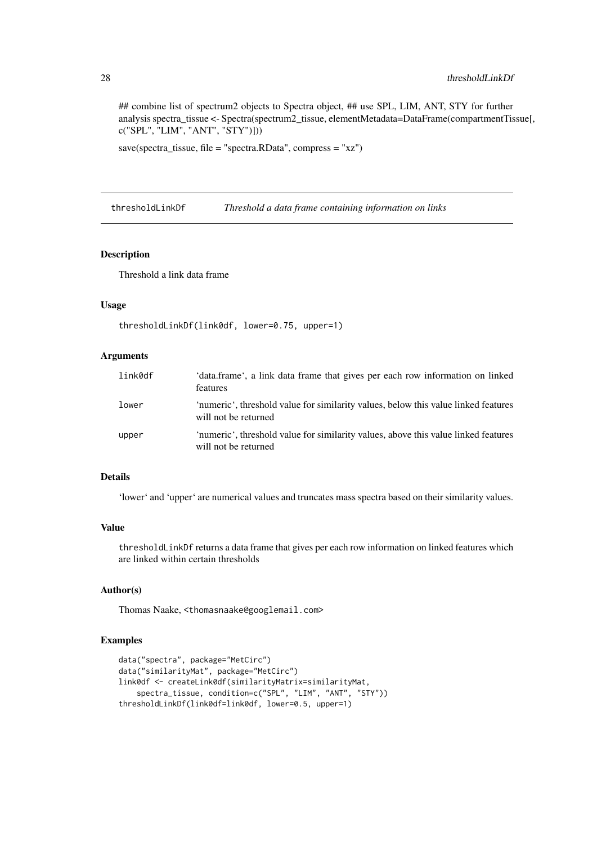## combine list of spectrum2 objects to Spectra object, ## use SPL, LIM, ANT, STY for further analysis spectra\_tissue <- Spectra(spectrum2\_tissue, elementMetadata=DataFrame(compartmentTissue[, c("SPL", "LIM", "ANT", "STY")]))

save(spectra\_tissue, file = "spectra.RData", compress = "xz")

thresholdLinkDf *Threshold a data frame containing information on links*

#### Description

Threshold a link data frame

# Usage

```
thresholdLinkDf(link0df, lower=0.75, upper=1)
```
# Arguments

| link0df | 'data.frame', a link data frame that gives per each row information on linked<br>features                  |
|---------|------------------------------------------------------------------------------------------------------------|
| lower   | 'numeric', threshold value for similarity values, below this value linked features<br>will not be returned |
| upper   | 'numeric', threshold value for similarity values, above this value linked features<br>will not be returned |

# Details

'lower' and 'upper' are numerical values and truncates mass spectra based on their similarity values.

#### Value

thresholdLinkDf returns a data frame that gives per each row information on linked features which are linked within certain thresholds

# Author(s)

Thomas Naake, <thomasnaake@googlemail.com>

```
data("spectra", package="MetCirc")
data("similarityMat", package="MetCirc")
link0df <- createLink0df(similarityMatrix=similarityMat,
    spectra_tissue, condition=c("SPL", "LIM", "ANT", "STY"))
thresholdLinkDf(link0df=link0df, lower=0.5, upper=1)
```
<span id="page-27-0"></span>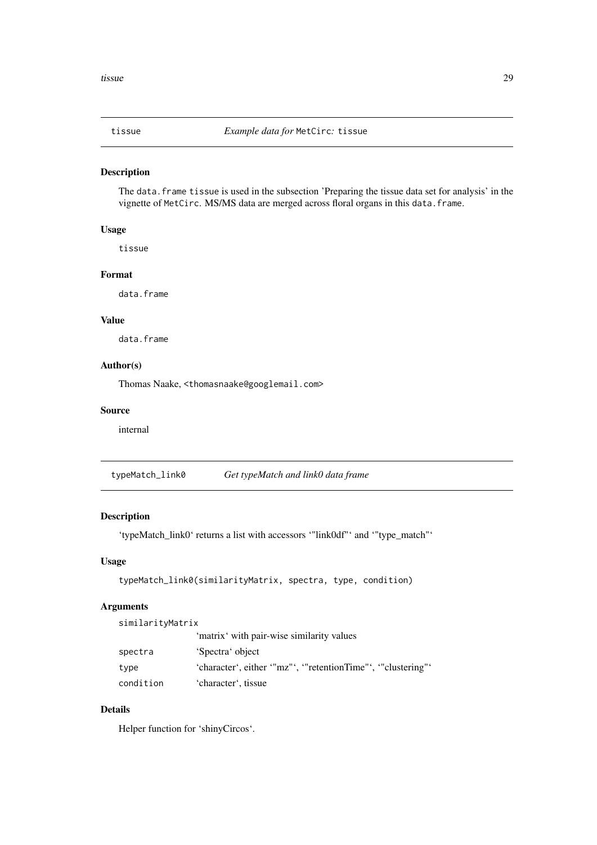<span id="page-28-0"></span>

# Description

The data.frame tissue is used in the subsection 'Preparing the tissue data set for analysis' in the vignette of MetCirc. MS/MS data are merged across floral organs in this data.frame.

# Usage

tissue

#### Format

data.frame

# Value

data.frame

#### Author(s)

Thomas Naake, <thomasnaake@googlemail.com>

# Source

internal

typeMatch\_link0 *Get typeMatch and link0 data frame*

# Description

'typeMatch\_link0' returns a list with accessors '"link0df"' and '"type\_match"'

# Usage

```
typeMatch_link0(similarityMatrix, spectra, type, condition)
```
# Arguments

similarityMatrix

|           | 'matrix' with pair-wise similarity values                     |
|-----------|---------------------------------------------------------------|
| spectra   | 'Spectra' object                                              |
| type      | 'character', either '"mz"', '"retentionTime"', '"clustering"' |
| condition | 'character', tissue                                           |

# Details

Helper function for 'shinyCircos'.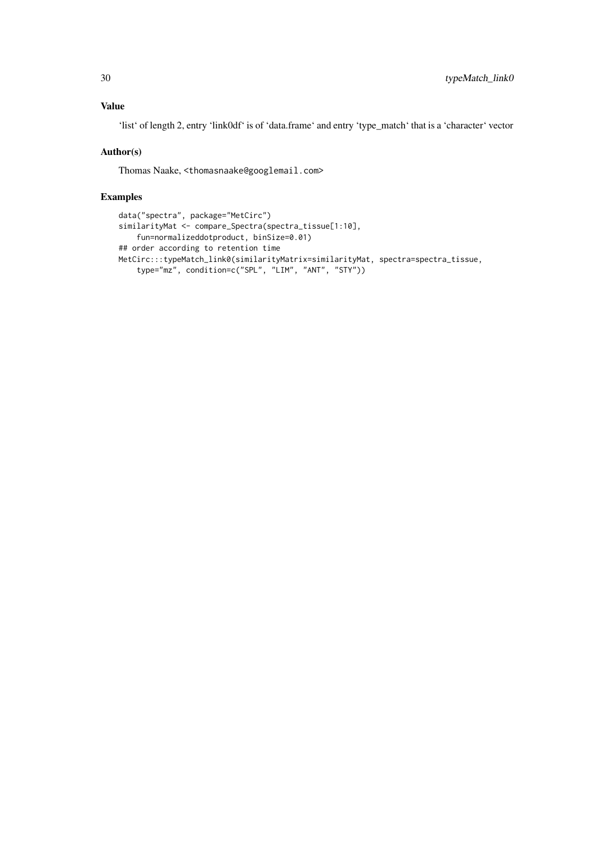# Value

'list' of length 2, entry 'link0df' is of 'data.frame' and entry 'type\_match' that is a 'character' vector

# Author(s)

Thomas Naake, <thomasnaake@googlemail.com>

```
data("spectra", package="MetCirc")
similarityMat <- compare_Spectra(spectra_tissue[1:10],
   fun=normalizeddotproduct, binSize=0.01)
## order according to retention time
MetCirc:::typeMatch_link0(similarityMatrix=similarityMat, spectra=spectra_tissue,
    type="mz", condition=c("SPL", "LIM", "ANT", "STY"))
```